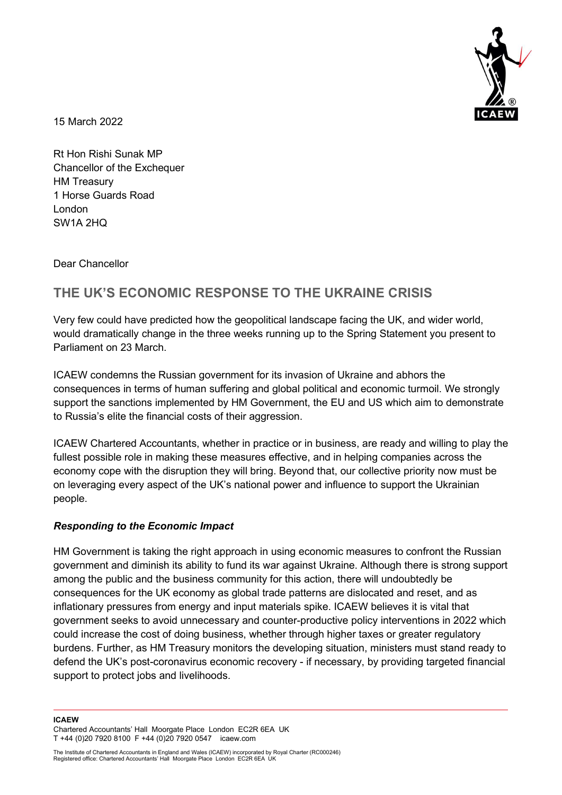

15 March 2022

Rt Hon Rishi Sunak MP Chancellor of the Exchequer HM Treasury 1 Horse Guards Road London SW1A 2HQ

Dear Chancellor

# THE UK'S ECONOMIC RESPONSE TO THE UKRAINE CRISIS

Very few could have predicted how the geopolitical landscape facing the UK, and wider world, would dramatically change in the three weeks running up to the Spring Statement you present to Parliament on 23 March.

ICAEW condemns the Russian government for its invasion of Ukraine and abhors the consequences in terms of human suffering and global political and economic turmoil. We strongly support the sanctions implemented by HM Government, the EU and US which aim to demonstrate to Russia's elite the financial costs of their aggression.

ICAEW Chartered Accountants, whether in practice or in business, are ready and willing to play the fullest possible role in making these measures effective, and in helping companies across the economy cope with the disruption they will bring. Beyond that, our collective priority now must be on leveraging every aspect of the UK's national power and influence to support the Ukrainian people.

### Responding to the Economic Impact

HM Government is taking the right approach in using economic measures to confront the Russian government and diminish its ability to fund its war against Ukraine. Although there is strong support among the public and the business community for this action, there will undoubtedly be consequences for the UK economy as global trade patterns are dislocated and reset, and as inflationary pressures from energy and input materials spike. ICAEW believes it is vital that government seeks to avoid unnecessary and counter-productive policy interventions in 2022 which could increase the cost of doing business, whether through higher taxes or greater regulatory burdens. Further, as HM Treasury monitors the developing situation, ministers must stand ready to defend the UK's post-coronavirus economic recovery - if necessary, by providing targeted financial support to protect jobs and livelihoods.

#### ICAEW

Chartered Accountants' Hall Moorgate Place London EC2R 6EA UK T +44 (0)20 7920 8100 F +44 (0)20 7920 0547 icaew.com

The Institute of Chartered Accountants in England and Wales (ICAEW) incorporated by Royal Charter (RC000246) Registered office: Chartered Accountants' Hall Moorgate Place London EC2R 6EA UK